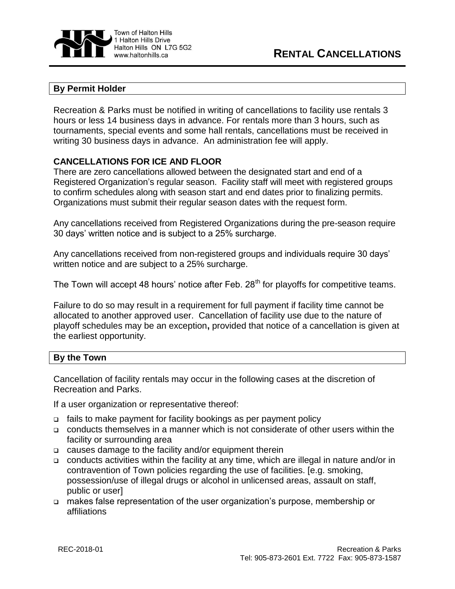

## **By Permit Holder**

Recreation & Parks must be notified in writing of cancellations to facility use rentals 3 hours or less 14 business days in advance. For rentals more than 3 hours, such as tournaments, special events and some hall rentals, cancellations must be received in writing 30 business days in advance. An administration fee will apply.

## **CANCELLATIONS FOR ICE AND FLOOR**

There are zero cancellations allowed between the designated start and end of a Registered Organization's regular season. Facility staff will meet with registered groups to confirm schedules along with season start and end dates prior to finalizing permits. Organizations must submit their regular season dates with the request form.

Any cancellations received from Registered Organizations during the pre-season require 30 days' written notice and is subject to a 25% surcharge.

Any cancellations received from non-registered groups and individuals require 30 days' written notice and are subject to a 25% surcharge.

The Town will accept 48 hours' notice after Feb. 28<sup>th</sup> for playoffs for competitive teams.

Failure to do so may result in a requirement for full payment if facility time cannot be allocated to another approved user. Cancellation of facility use due to the nature of playoff schedules may be an exception**,** provided that notice of a cancellation is given at the earliest opportunity.

## **By the Town**

Cancellation of facility rentals may occur in the following cases at the discretion of Recreation and Parks.

If a user organization or representative thereof:

- fails to make payment for facility bookings as per payment policy
- conducts themselves in a manner which is not considerate of other users within the facility or surrounding area
- causes damage to the facility and/or equipment therein
- conducts activities within the facility at any time, which are illegal in nature and/or in contravention of Town policies regarding the use of facilities. [e.g. smoking, possession/use of illegal drugs or alcohol in unlicensed areas, assault on staff, public or user]
- makes false representation of the user organization's purpose, membership or affiliations